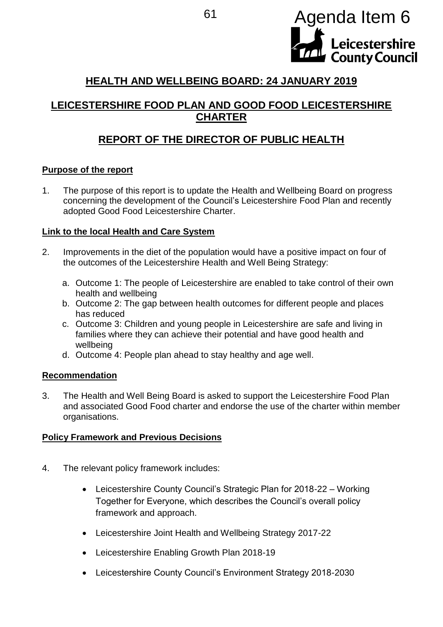

# **HEALTH AND WELLBEING BOARD: 24 JANUARY 2019**

# **LEICESTERSHIRE FOOD PLAN AND GOOD FOOD LEICESTERSHIRE CHARTER**

# **REPORT OF THE DIRECTOR OF PUBLIC HEALTH**

#### **Purpose of the report**

1. The purpose of this report is to update the Health and Wellbeing Board on progress concerning the development of the Council's Leicestershire Food Plan and recently adopted Good Food Leicestershire Charter.

### **Link to the local Health and Care System**

- 2. Improvements in the diet of the population would have a positive impact on four of the outcomes of the Leicestershire Health and Well Being Strategy:
	- a. Outcome 1: The people of Leicestershire are enabled to take control of their own health and wellbeing
	- b. Outcome 2: The gap between health outcomes for different people and places has reduced
	- c. Outcome 3: Children and young people in Leicestershire are safe and living in families where they can achieve their potential and have good health and wellbeing
	- d. Outcome 4: People plan ahead to stay healthy and age well.

#### **Recommendation**

3. The Health and Well Being Board is asked to support the Leicestershire Food Plan and associated Good Food charter and endorse the use of the charter within member organisations.

#### **Policy Framework and Previous Decisions**

- 4. The relevant policy framework includes:
	- Leicestershire County Council's Strategic Plan for 2018-22 Working Together for Everyone, which describes the Council's overall policy framework and approach.
	- Leicestershire Joint Health and Wellbeing Strategy 2017-22
	- Leicestershire Enabling Growth Plan 2018-19
	- Leicestershire County Council's Environment Strategy 2018-2030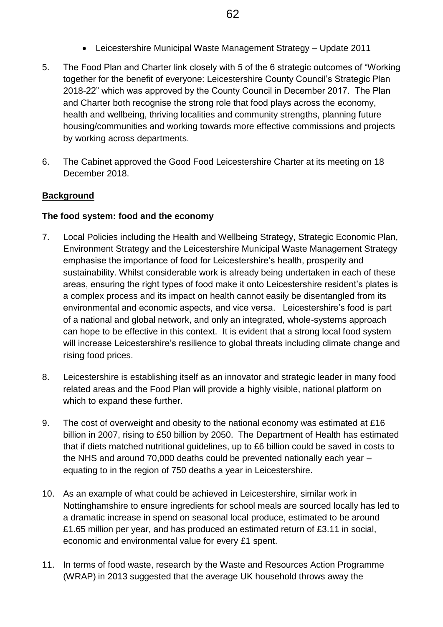- Leicestershire Municipal Waste Management Strategy Update 2011
- 5. The Food Plan and Charter link closely with 5 of the 6 strategic outcomes of "Working together for the benefit of everyone: Leicestershire County Council's Strategic Plan 2018-22" which was approved by the County Council in December 2017. The Plan and Charter both recognise the strong role that food plays across the economy, health and wellbeing, thriving localities and community strengths, planning future housing/communities and working towards more effective commissions and projects by working across departments.
- 6. The Cabinet approved the Good Food Leicestershire Charter at its meeting on 18 December 2018.

### **Background**

#### **The food system: food and the economy**

- 7. Local Policies including the Health and Wellbeing Strategy, Strategic Economic Plan, Environment Strategy and the Leicestershire Municipal Waste Management Strategy emphasise the importance of food for Leicestershire's health, prosperity and sustainability. Whilst considerable work is already being undertaken in each of these areas, ensuring the right types of food make it onto Leicestershire resident's plates is a complex process and its impact on health cannot easily be disentangled from its environmental and economic aspects, and vice versa. Leicestershire's food is part of a national and global network, and only an integrated, whole-systems approach can hope to be effective in this context. It is evident that a strong local food system will increase Leicestershire's resilience to global threats including climate change and rising food prices.
- 8. Leicestershire is establishing itself as an innovator and strategic leader in many food related areas and the Food Plan will provide a highly visible, national platform on which to expand these further.
- 9. The cost of overweight and obesity to the national economy was estimated at £16 billion in 2007, rising to £50 billion by 2050. The Department of Health has estimated that if diets matched nutritional guidelines, up to £6 billion could be saved in costs to the NHS and around 70,000 deaths could be prevented nationally each year – equating to in the region of 750 deaths a year in Leicestershire.
- 10. As an example of what could be achieved in Leicestershire, similar work in Nottinghamshire to ensure ingredients for school meals are sourced locally has led to a dramatic increase in spend on seasonal local produce, estimated to be around £1.65 million per year, and has produced an estimated return of £3.11 in social, economic and environmental value for every £1 spent.
- 11. In terms of food waste, research by the Waste and Resources Action Programme (WRAP) in 2013 suggested that the average UK household throws away the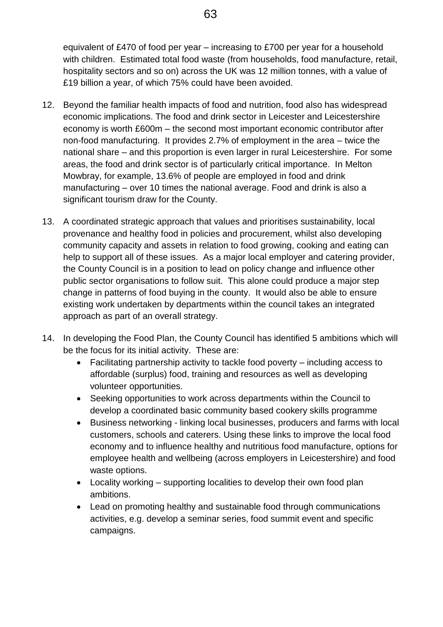equivalent of £470 of food per year – increasing to £700 per year for a household with children. Estimated total food waste (from households, food manufacture, retail, hospitality sectors and so on) across the UK was 12 million tonnes, with a value of £19 billion a year, of which 75% could have been avoided.

- 12. Beyond the familiar health impacts of food and nutrition, food also has widespread economic implications. The food and drink sector in Leicester and Leicestershire economy is worth £600m – the second most important economic contributor after non-food manufacturing. It provides 2.7% of employment in the area – twice the national share – and this proportion is even larger in rural Leicestershire. For some areas, the food and drink sector is of particularly critical importance. In Melton Mowbray, for example, 13.6% of people are employed in food and drink manufacturing – over 10 times the national average. Food and drink is also a significant tourism draw for the County.
- 13. A coordinated strategic approach that values and prioritises sustainability, local provenance and healthy food in policies and procurement, whilst also developing community capacity and assets in relation to food growing, cooking and eating can help to support all of these issues. As a major local employer and catering provider, the County Council is in a position to lead on policy change and influence other public sector organisations to follow suit. This alone could produce a major step change in patterns of food buying in the county. It would also be able to ensure existing work undertaken by departments within the council takes an integrated approach as part of an overall strategy.
- 14. In developing the Food Plan, the County Council has identified 5 ambitions which will be the focus for its initial activity. These are:
	- Facilitating partnership activity to tackle food poverty including access to affordable (surplus) food, training and resources as well as developing volunteer opportunities.
	- Seeking opportunities to work across departments within the Council to develop a coordinated basic community based cookery skills programme
	- Business networking linking local businesses, producers and farms with local customers, schools and caterers. Using these links to improve the local food economy and to influence healthy and nutritious food manufacture, options for employee health and wellbeing (across employers in Leicestershire) and food waste options.
	- Locality working supporting localities to develop their own food plan ambitions.
	- Lead on promoting healthy and sustainable food through communications activities, e.g. develop a seminar series, food summit event and specific campaigns.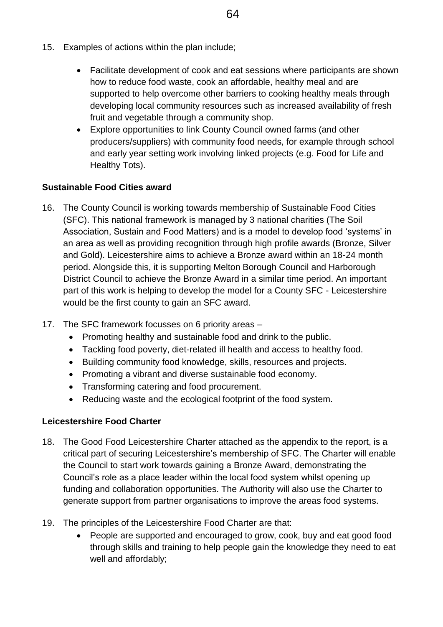- 15. Examples of actions within the plan include;
	- Facilitate development of cook and eat sessions where participants are shown how to reduce food waste, cook an affordable, healthy meal and are supported to help overcome other barriers to cooking healthy meals through developing local community resources such as increased availability of fresh fruit and vegetable through a community shop.
	- Explore opportunities to link County Council owned farms (and other producers/suppliers) with community food needs, for example through school and early year setting work involving linked projects (e.g. Food for Life and Healthy Tots).

# **Sustainable Food Cities award**

- 16. The County Council is working towards membership of Sustainable Food Cities (SFC). This national framework is managed by 3 national charities (The Soil Association, Sustain and Food Matters) and is a model to develop food 'systems' in an area as well as providing recognition through high profile awards (Bronze, Silver and Gold). Leicestershire aims to achieve a Bronze award within an 18-24 month period. Alongside this, it is supporting Melton Borough Council and Harborough District Council to achieve the Bronze Award in a similar time period. An important part of this work is helping to develop the model for a County SFC - Leicestershire would be the first county to gain an SFC award.
- 17. The SFC framework focusses on 6 priority areas
	- Promoting healthy and sustainable food and drink to the public.
	- Tackling food poverty, diet-related ill health and access to healthy food.
	- Building community food knowledge, skills, resources and projects.
	- Promoting a vibrant and diverse sustainable food economy.
	- Transforming catering and food procurement.
	- Reducing waste and the ecological footprint of the food system.

# **Leicestershire Food Charter**

- 18. The Good Food Leicestershire Charter attached as the appendix to the report, is a critical part of securing Leicestershire's membership of SFC. The Charter will enable the Council to start work towards gaining a Bronze Award, demonstrating the Council's role as a place leader within the local food system whilst opening up funding and collaboration opportunities. The Authority will also use the Charter to generate support from partner organisations to improve the areas food systems.
- 19. The principles of the Leicestershire Food Charter are that:
	- People are supported and encouraged to grow, cook, buy and eat good food through skills and training to help people gain the knowledge they need to eat well and affordably;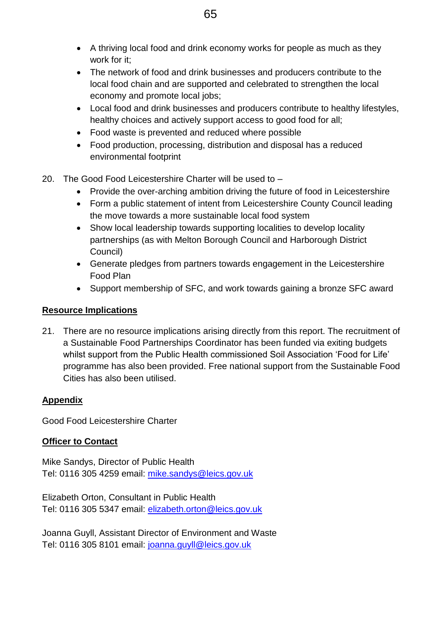- A thriving local food and drink economy works for people as much as they work for it;
- The network of food and drink businesses and producers contribute to the local food chain and are supported and celebrated to strengthen the local economy and promote local jobs;
- Local food and drink businesses and producers contribute to healthy lifestyles, healthy choices and actively support access to good food for all;
- Food waste is prevented and reduced where possible
- Food production, processing, distribution and disposal has a reduced environmental footprint
- 20. The Good Food Leicestershire Charter will be used to
	- Provide the over-arching ambition driving the future of food in Leicestershire
	- Form a public statement of intent from Leicestershire County Council leading the move towards a more sustainable local food system
	- Show local leadership towards supporting localities to develop locality partnerships (as with Melton Borough Council and Harborough District Council)
	- Generate pledges from partners towards engagement in the Leicestershire Food Plan
	- Support membership of SFC, and work towards gaining a bronze SFC award

## **Resource Implications**

21. There are no resource implications arising directly from this report. The recruitment of a Sustainable Food Partnerships Coordinator has been funded via exiting budgets whilst support from the Public Health commissioned Soil Association 'Food for Life' programme has also been provided. Free national support from the Sustainable Food Cities has also been utilised.

## **Appendix**

Good Food Leicestershire Charter

## **Officer to Contact**

Mike Sandys, Director of Public Health Tel: 0116 305 4259 email: [mike.sandys@leics.gov.uk](mailto:mike.sandys@leics.gov.uk)

Elizabeth Orton, Consultant in Public Health Tel: 0116 305 5347 email: [elizabeth.orton@leics.gov.uk](mailto:elizabeth.orton@leics.gov.uk)

Joanna Guyll, Assistant Director of Environment and Waste Tel: 0116 305 8101 email: [joanna.guyll@leics.gov.uk](mailto:joanna.guyll@leics.gov.uk)